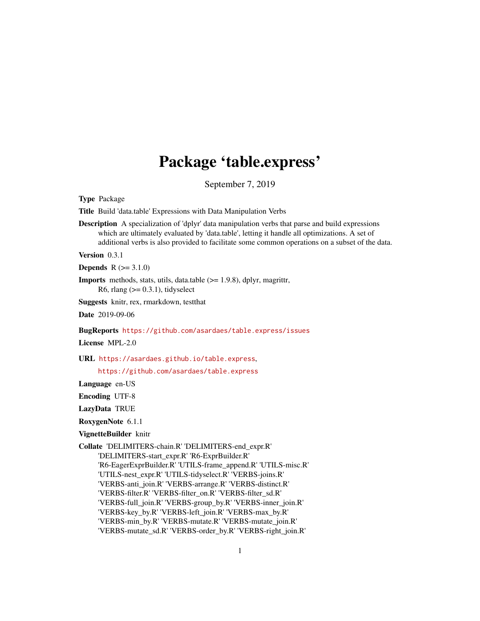## Package 'table.express'

September 7, 2019

<span id="page-0-0"></span>Type Package

Title Build 'data.table' Expressions with Data Manipulation Verbs

Description A specialization of 'dplyr' data manipulation verbs that parse and build expressions which are ultimately evaluated by 'data.table', letting it handle all optimizations. A set of additional verbs is also provided to facilitate some common operations on a subset of the data.

Version 0.3.1

**Depends**  $R (= 3.1.0)$ 

Imports methods, stats, utils, data.table (>= 1.9.8), dplyr, magrittr, R6, rlang  $(>= 0.3.1)$ , tidyselect

Suggests knitr, rex, rmarkdown, testthat

Date 2019-09-06

BugReports <https://github.com/asardaes/table.express/issues>

License MPL-2.0

URL <https://asardaes.github.io/table.express>,

<https://github.com/asardaes/table.express>

Language en-US

Encoding UTF-8

LazyData TRUE

RoxygenNote 6.1.1

VignetteBuilder knitr

Collate 'DELIMITERS-chain.R' 'DELIMITERS-end\_expr.R' 'DELIMITERS-start\_expr.R' 'R6-ExprBuilder.R' 'R6-EagerExprBuilder.R' 'UTILS-frame\_append.R' 'UTILS-misc.R' 'UTILS-nest\_expr.R' 'UTILS-tidyselect.R' 'VERBS-joins.R' 'VERBS-anti\_join.R' 'VERBS-arrange.R' 'VERBS-distinct.R' 'VERBS-filter.R' 'VERBS-filter\_on.R' 'VERBS-filter\_sd.R' 'VERBS-full\_join.R' 'VERBS-group\_by.R' 'VERBS-inner\_join.R' 'VERBS-key\_by.R' 'VERBS-left\_join.R' 'VERBS-max\_by.R' 'VERBS-min\_by.R' 'VERBS-mutate.R' 'VERBS-mutate\_join.R' 'VERBS-mutate\_sd.R' 'VERBS-order\_by.R' 'VERBS-right\_join.R'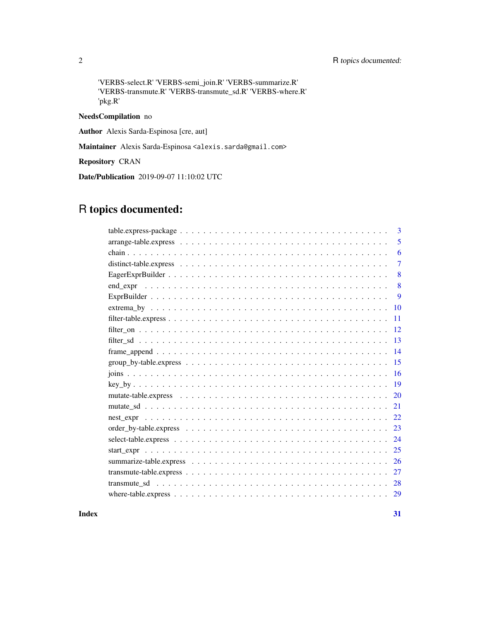#### 2 R topics documented:

'VERBS-select.R' 'VERBS-semi\_join.R' 'VERBS-summarize.R' 'VERBS-transmute.R' 'VERBS-transmute\_sd.R' 'VERBS-where.R' 'pkg.R'

#### NeedsCompilation no

Author Alexis Sarda-Espinosa [cre, aut]

Maintainer Alexis Sarda-Espinosa <alexis.sarda@gmail.com>

Repository CRAN

Date/Publication 2019-09-07 11:10:02 UTC

## R topics documented:

| 3                                                                                                                              |
|--------------------------------------------------------------------------------------------------------------------------------|
| 5                                                                                                                              |
| 6                                                                                                                              |
| 7                                                                                                                              |
| 8                                                                                                                              |
| 8                                                                                                                              |
| 9                                                                                                                              |
| $extrema_by \dots \dots \dots \dots \dots \dots \dots \dots \dots \dots \dots \dots \dots \dots \dots \dots \dots \dots$<br>10 |
| 11                                                                                                                             |
| 12                                                                                                                             |
| 13                                                                                                                             |
| $frame\_append \ldots \ldots \ldots \ldots \ldots \ldots \ldots \ldots \ldots \ldots \ldots \ldots \ldots$<br>14               |
| $group_by-table.\nexpress \ldots \ldots \ldots \ldots \ldots \ldots \ldots \ldots \ldots \ldots \ldots \ldots$<br>15           |
| 16                                                                                                                             |
| 19                                                                                                                             |
| 20                                                                                                                             |
| 21                                                                                                                             |
| 22                                                                                                                             |
| 23                                                                                                                             |
| 24                                                                                                                             |
| 25                                                                                                                             |
| 26                                                                                                                             |
| 27                                                                                                                             |
| 28                                                                                                                             |
| 29                                                                                                                             |
|                                                                                                                                |

#### **Index** [31](#page-30-0)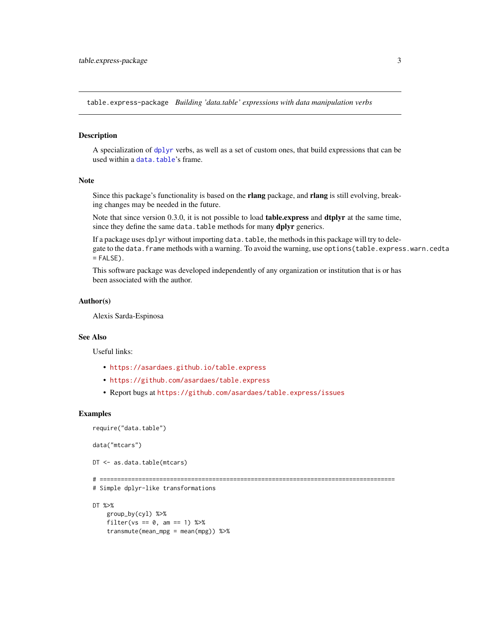<span id="page-2-1"></span><span id="page-2-0"></span>table.express-package *Building 'data.table' expressions with data manipulation verbs*

#### Description

A specialization of [dplyr](#page-0-0) verbs, as well as a set of custom ones, that build expressions that can be used within a [data.table](#page-0-0)'s frame.

#### Note

Since this package's functionality is based on the rlang package, and rlang is still evolving, breaking changes may be needed in the future.

Note that since version 0.3.0, it is not possible to load **table.** express and **dtplyr** at the same time, since they define the same data.table methods for many dplyr generics.

If a package uses dplyr without importing data. table, the methods in this package will try to delegate to the data. frame methods with a warning. To avoid the warning, use options (table.express.warn.cedta  $=$  FALSE $)$ .

This software package was developed independently of any organization or institution that is or has been associated with the author.

#### Author(s)

Alexis Sarda-Espinosa

#### See Also

Useful links:

- <https://asardaes.github.io/table.express>
- <https://github.com/asardaes/table.express>
- Report bugs at <https://github.com/asardaes/table.express/issues>

#### Examples

```
require("data.table")
```
data("mtcars")

DT <- as.data.table(mtcars)

```
# ====================================================================================
```

```
# Simple dplyr-like transformations
```
#### DT %>%

```
group_by(cyl) %>%
filter(vs == 0, am == 1) %>%
transmute(mean_mpg = mean(mpg)) %>%
```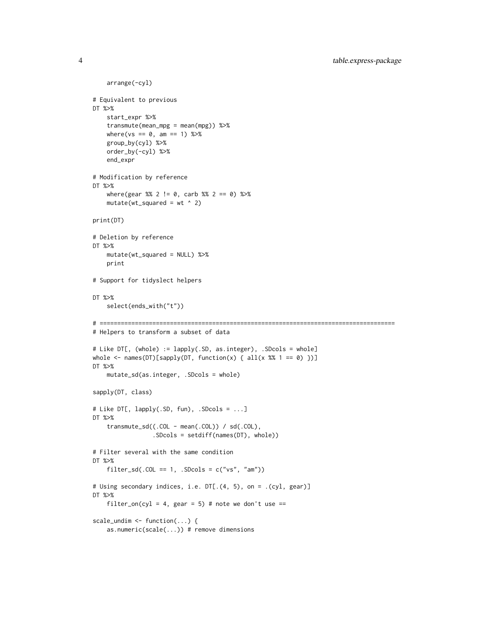```
arrange(-cyl)
# Equivalent to previous
DT %>%
   start_expr %>%
    transmute(mean_mpg = mean(mpg)) %>%
   where(vs == 0, am == 1) %>%
   group_by(cyl) %>%
   order_by(-cyl) %>%
   end_expr
# Modification by reference
DT %>%
    where(gear %% 2 != 0, carb %% 2 == 0) %>%
    mutate(wt_squared = wt ^ 2)print(DT)
# Deletion by reference
DT %>%
    mutate(wt_squared = NULL) %>%
   print
# Support for tidyslect helpers
DT %>%
    select(ends_with("t"))
# ====================================================================================
# Helpers to transform a subset of data
# Like DT[, (whole) := lapply(.SD, as.integer), .SDcols = whole]
whole \leq names(DT)[sapply(DT, function(x) { all(x %% 1 == 0) })]
DT %>%
   mutate_sd(as.integer, .SDcols = whole)
sapply(DT, class)
# Like DT[, lapply(.SD, fun), .SDcols = ...]
DT %>%
    transmute_sd((.COL - mean(.COL)) / sd(.COL),
                 .SDcols = setdiff(names(DT), whole))
# Filter several with the same condition
DT %>%
    filter_sd(.COL == 1, .SDcols = c("vs", "am"))
# Using secondary indices, i.e. DT[.(4, 5), on = .(cyl, gear)]
DT %>%
    filter_on(cyl = 4, gear = 5) # note we don't use ==
scale_undim <- function(...) {
    as.numeric(scale(...)) # remove dimensions
```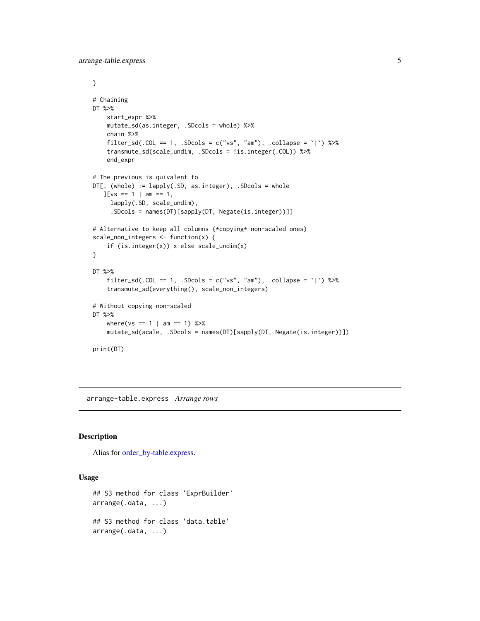```
}
# Chaining
DT %>%
    start_expr %>%
   mutate_sd(as.integer, .SDcols = whole) %>%
   chain %>%
    filter_sd(.COL == 1, .SDcols = c("vs", "am"), .collapse = `|`) %>%
    transmute_sd(scale_undim, .SDcols = !is.integer(.COL)) %>%
    end_expr
# The previous is quivalent to
DT[, (whole) := lapply(.SD, as.integer), .SDcols = whole
   J[vs == 1 | am == 1,lapply(.SD, scale_undim),
     .SDcols = names(DT)[sapply(DT, Negate(is.integer))]]
# Alternative to keep all columns (*copying* non-scaled ones)
scale_non_integers <- function(x) {
    if (is.integer(x)) x else scale_undim(x)
}
DT %>%
    filter_sd(.COL == 1, .SDcols = c("vs", "am"), .collapse = `|`) %>%
    transmute_sd(everything(), scale_non_integers)
# Without copying non-scaled
DT %>%
    where(vs == 1 | am == 1) %>%
    mutate_sd(scale, .SDcols = names(DT)[sapply(DT, Negate(is.integer))])
print(DT)
```
arrange-table.express *Arrange rows*

#### Description

Alias for [order\\_by-table.express.](#page-22-1)

#### Usage

```
## S3 method for class 'ExprBuilder'
arrange(.data, ...)
## S3 method for class 'data.table'
arrange(.data, ...)
```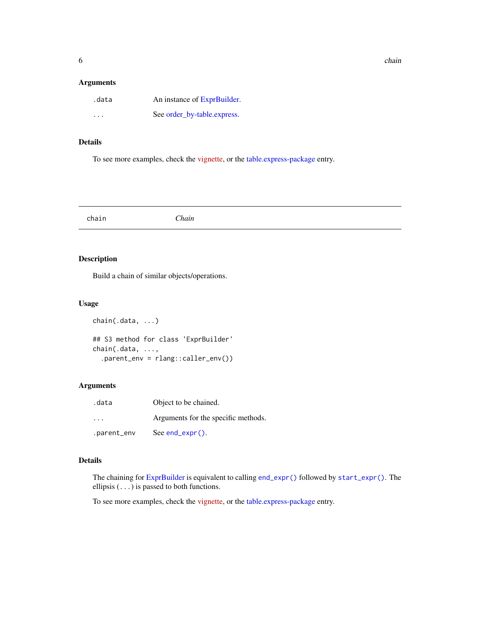<span id="page-5-0"></span>

#### Arguments

| .data   | An instance of ExprBuilder. |
|---------|-----------------------------|
| $\cdot$ | See order_by-table.express. |

#### Details

To see more examples, check the [vignette,](https://asardaes.github.io/table.express/articles/table.express.html) or the [table.express-package](#page-2-1) entry.

<span id="page-5-1"></span>

chain *Chain*

#### Description

Build a chain of similar objects/operations.

#### Usage

```
chain(.data, ...)
## S3 method for class 'ExprBuilder'
chain(.data, ...,
  .parent_env = rlang::caller_env())
```
#### Arguments

| .data                   | Object to be chained.               |
|-------------------------|-------------------------------------|
| $\cdot$ $\cdot$ $\cdot$ | Arguments for the specific methods. |
| .parent_env             | $See end\_expr()$ .                 |

#### Details

The chaining for [ExprBuilder](#page-8-1) is equivalent to calling [end\\_expr\(\)](#page-7-1) followed by [start\\_expr\(\)](#page-24-1). The ellipsis (...) is passed to both functions.

To see more examples, check the [vignette,](https://asardaes.github.io/table.express/articles/table.express.html) or the [table.express-package](#page-2-1) entry.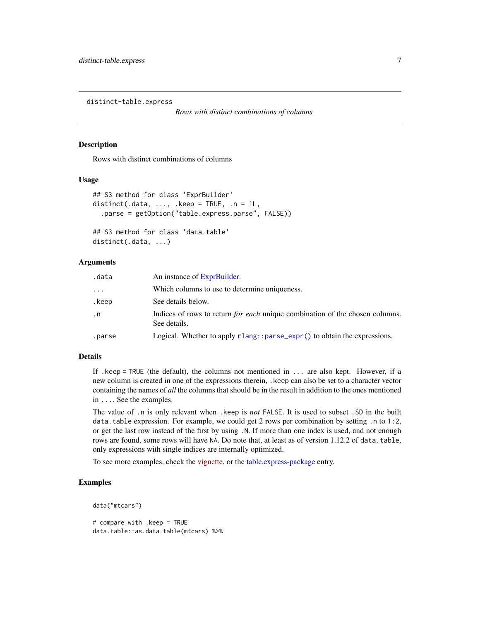<span id="page-6-0"></span>distinct-table.express

*Rows with distinct combinations of columns*

#### **Description**

Rows with distinct combinations of columns

#### Usage

```
## S3 method for class 'ExprBuilder'
distinct(.data, \dots, .keep = TRUE, .n = 1L,
  .parse = getOption("table.express.parse", FALSE))
```

```
## S3 method for class 'data.table'
distinct(.data, ...)
```
#### Arguments

| .data     | An instance of ExprBuilder.                                                                         |
|-----------|-----------------------------------------------------------------------------------------------------|
| .         | Which columns to use to determine uniqueness.                                                       |
| .keep     | See details below.                                                                                  |
| $\cdot$ n | Indices of rows to return <i>for each</i> unique combination of the chosen columns.<br>See details. |
| .parse    | Logical. Whether to apply rlang:: parse_expr() to obtain the expressions.                           |

#### Details

If .keep = TRUE (the default), the columns not mentioned in ... are also kept. However, if a new column is created in one of the expressions therein, .keep can also be set to a character vector containing the names of *all* the columns that should be in the result in addition to the ones mentioned in .... See the examples.

The value of .n is only relevant when .keep is *not* FALSE. It is used to subset .SD in the built data.table expression. For example, we could get 2 rows per combination by setting .n to 1:2, or get the last row instead of the first by using .N. If more than one index is used, and not enough rows are found, some rows will have NA. Do note that, at least as of version 1.12.2 of data.table, only expressions with single indices are internally optimized.

To see more examples, check the [vignette,](https://asardaes.github.io/table.express/articles/table.express.html) or the [table.express-package](#page-2-1) entry.

#### Examples

```
data("mtcars")
# compare with .keep = TRUE
data.table::as.data.table(mtcars) %>%
```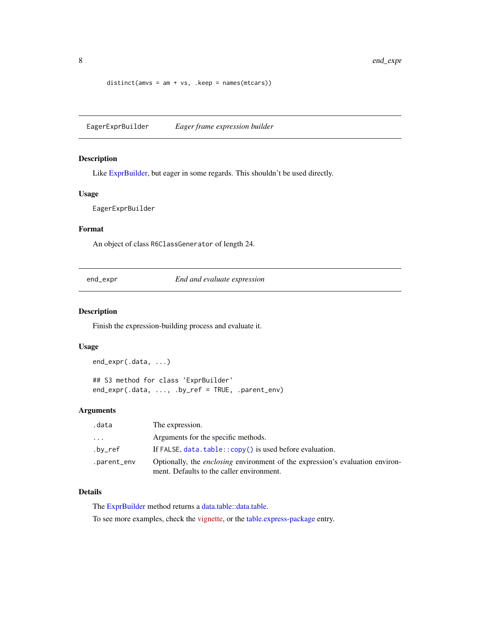```
distinct(amv s = am + vs, \nkeep = names(mtcars))
```
<span id="page-7-2"></span>EagerExprBuilder *Eager frame expression builder*

#### Description

Like [ExprBuilder,](#page-8-1) but eager in some regards. This shouldn't be used directly.

#### Usage

EagerExprBuilder

#### Format

An object of class R6ClassGenerator of length 24.

<span id="page-7-1"></span>end\_expr *End and evaluate expression*

#### Description

Finish the expression-building process and evaluate it.

#### Usage

end\_expr(.data, ...)

## S3 method for class 'ExprBuilder' end\_expr(.data, ..., .by\_ref = TRUE, .parent\_env)

#### Arguments

| .data       | The expression.                                                                                                                   |
|-------------|-----------------------------------------------------------------------------------------------------------------------------------|
| .           | Arguments for the specific methods.                                                                                               |
| .bv_ref     | If FALSE, $data$ , $table$ ; $copy()$ is used before evaluation.                                                                  |
| .parent_env | Optionally, the <i>enclosing</i> environment of the expression's evaluation environ-<br>ment. Defaults to the caller environment. |

#### Details

The [ExprBuilder](#page-8-1) method returns a [data.table::data.table.](#page-0-0)

To see more examples, check the [vignette,](https://asardaes.github.io/table.express/articles/table.express.html) or the [table.express-package](#page-2-1) entry.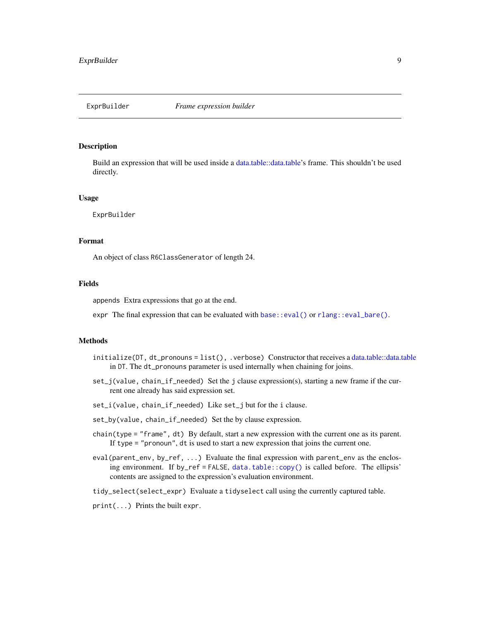<span id="page-8-1"></span><span id="page-8-0"></span>

#### **Description**

Build an expression that will be used inside a [data.table::data.table'](#page-0-0)s frame. This shouldn't be used directly.

#### Usage

ExprBuilder

#### Format

An object of class R6ClassGenerator of length 24.

#### Fields

appends Extra expressions that go at the end.

expr The final expression that can be evaluated with [base::eval\(\)](#page-0-0) or [rlang::eval\\_bare\(\)](#page-0-0).

#### Methods

- initialize(DT, dt\_pronouns = list(), .verbose) Constructor that receives a [data.table::data.table](#page-0-0) in DT. The dt\_pronouns parameter is used internally when chaining for joins.
- $set_j$ (value, chain\_if\_needed) Set the j clause expression(s), starting a new frame if the current one already has said expression set.
- set\_i(value, chain\_if\_needed) Like set\_j but for the i clause.
- set\_by(value, chain\_if\_needed) Set the by clause expression.
- chain(type = "frame", dt) By default, start a new expression with the current one as its parent. If type = "pronoun", dt is used to start a new expression that joins the current one.
- eval(parent\_env, by\_ref, ...) Evaluate the final expression with parent\_env as the enclosing environment. If by\_ref = FALSE, [data.table::copy\(\)](#page-0-0) is called before. The ellipsis' contents are assigned to the expression's evaluation environment.

tidy\_select(select\_expr) Evaluate a tidyselect call using the currently captured table.

print(...) Prints the built expr.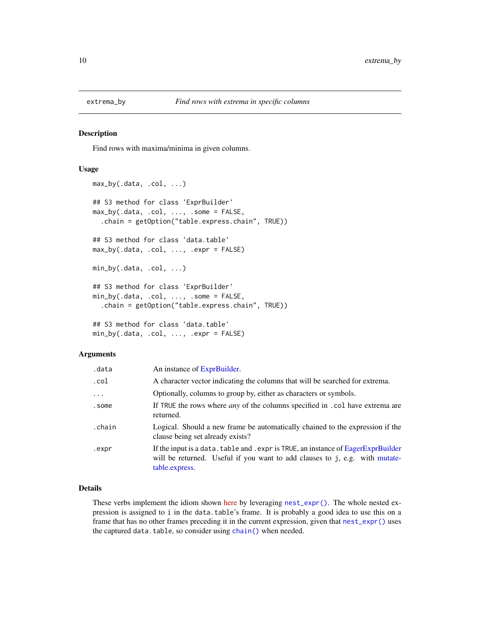<span id="page-9-0"></span>

#### **Description**

Find rows with maxima/minima in given columns.

#### Usage

```
max_by(.data, .col, ...)
## S3 method for class 'ExprBuilder'
max_by(.data, .col, ..., .some = FALSE,
  .chain = getOption("table.express.chain", TRUE))
## S3 method for class 'data.table'
max_by(.data, .col, ..., .expr = FALSE)
min_by(.data, .col, ...)
## S3 method for class 'ExprBuilder'
min_by(.data, .col, ..., .some = FALSE,
  .chain = getOption("table.express.chain", TRUE))
## S3 method for class 'data.table'
min_by(.data, .col, ..., .expr = FALSE)
```
#### Arguments

| .data    | An instance of ExprBuilder.                                                                                                                                                        |
|----------|------------------------------------------------------------------------------------------------------------------------------------------------------------------------------------|
| .col     | A character vector indicating the columns that will be searched for extrema.                                                                                                       |
| $\cdots$ | Optionally, columns to group by, either as characters or symbols.                                                                                                                  |
| .some    | If TRUE the rows where <i>any</i> of the columns specified in . col have extrema are<br>returned.                                                                                  |
| .chain   | Logical. Should a new frame be automatically chained to the expression if the<br>clause being set already exists?                                                                  |
| .expr    | If the input is a data. table and . expr is TRUE, an instance of EagerExprBuilder<br>will be returned. Useful if you want to add clauses to j, e.g. with mutate-<br>table.express. |

#### Details

These verbs implement the idiom shown [here](https://stackoverflow.com/q/16573995/5793905) by leveraging [nest\\_expr\(\)](#page-21-1). The whole nested expression is assigned to i in the data.table's frame. It is probably a good idea to use this on a frame that has no other frames preceding it in the current expression, given that [nest\\_expr\(\)](#page-21-1) uses the captured data.table, so consider using [chain\(\)](#page-5-1) when needed.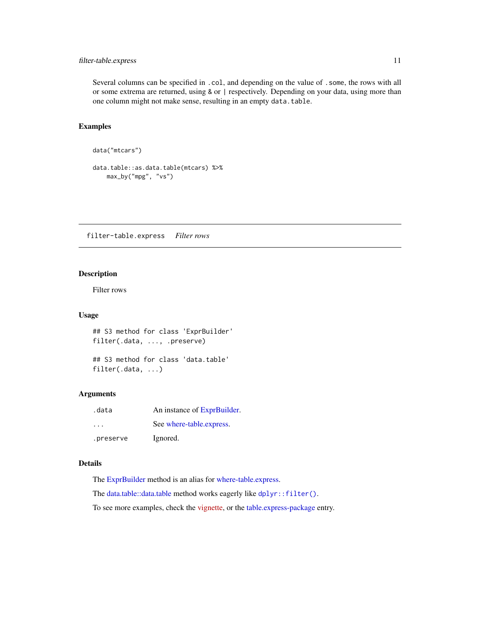#### <span id="page-10-0"></span>filter-table.express 11

Several columns can be specified in .col, and depending on the value of .some, the rows with all or some extrema are returned, using & or | respectively. Depending on your data, using more than one column might not make sense, resulting in an empty data.table.

#### Examples

```
data("mtcars")
```

```
data.table::as.data.table(mtcars) %>%
   max_by("mpg", "vs")
```
filter-table.express *Filter rows*

#### Description

Filter rows

#### Usage

```
## S3 method for class 'ExprBuilder'
filter(.data, ..., .preserve)
```

```
## S3 method for class 'data.table'
filter(.data, ...)
```
#### Arguments

| .data     | An instance of ExprBuilder. |
|-----------|-----------------------------|
| .         | See where-table.express.    |
| .preserve | Ignored.                    |

#### Details

The [ExprBuilder](#page-8-1) method is an alias for [where-table.express.](#page-28-1)

The [data.table::data.table](#page-0-0) method works eagerly like [dplyr::filter\(\)](#page-0-0).

To see more examples, check the [vignette,](https://asardaes.github.io/table.express/articles/table.express.html) or the [table.express-package](#page-2-1) entry.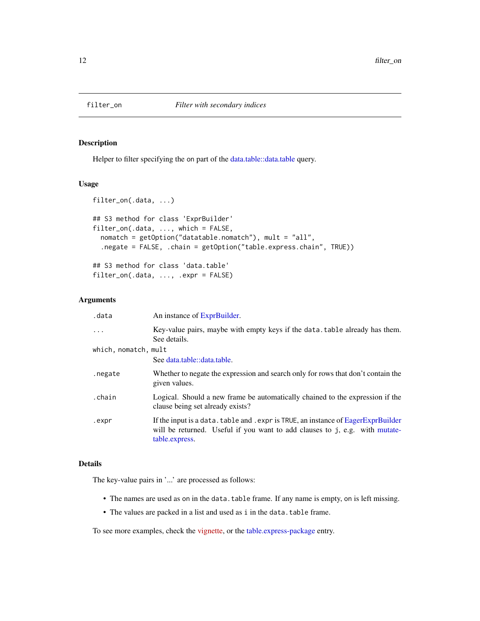<span id="page-11-0"></span>

#### Description

Helper to filter specifying the on part of the [data.table::data.table](#page-0-0) query.

#### Usage

```
filter_on(.data, ...)
## S3 method for class 'ExprBuilder'
filter_on(.data, ..., which = FALSE,
  nomatch = getOption("datatable.nomatch"), mult = "all",
  .negate = FALSE, .chain = getOption("table.express.chain", TRUE))
## S3 method for class 'data.table'
```

```
filter_on(.data, ..., .expr = FALSE)
```
#### Arguments

| .data                | An instance of ExprBuilder.                                                                                                                                                        |
|----------------------|------------------------------------------------------------------------------------------------------------------------------------------------------------------------------------|
| $\ddots$ .           | Key-value pairs, maybe with empty keys if the data. table already has them.<br>See details.                                                                                        |
| which, nomatch, mult |                                                                                                                                                                                    |
|                      | See data.table::data.table.                                                                                                                                                        |
| .negate              | Whether to negate the expression and search only for rows that don't contain the<br>given values.                                                                                  |
| .chain               | Logical. Should a new frame be automatically chained to the expression if the<br>clause being set already exists?                                                                  |
| .expr                | If the input is a data. table and . expr is TRUE, an instance of EagerExprBuilder<br>will be returned. Useful if you want to add clauses to j, e.g. with mutate-<br>table.express. |

#### Details

The key-value pairs in '...' are processed as follows:

- The names are used as on in the data.table frame. If any name is empty, on is left missing.
- The values are packed in a list and used as i in the data.table frame.

To see more examples, check the [vignette,](https://asardaes.github.io/table.express/articles/table.express.html) or the [table.express-package](#page-2-1) entry.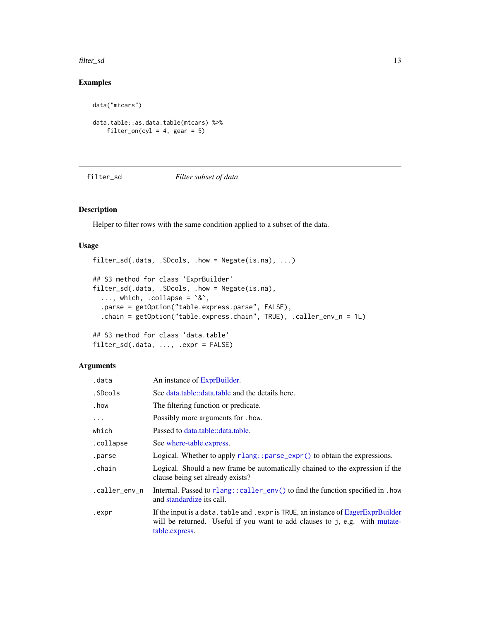<span id="page-12-0"></span>filter\_sd 13

### Examples

```
data("mtcars")
data.table::as.data.table(mtcars) %>%
    filter\_on(cyl = 4, gear = 5)
```
#### filter\_sd *Filter subset of data*

#### Description

Helper to filter rows with the same condition applied to a subset of the data.

#### Usage

```
filter_sd(.data, .SDcols, .how = Negate(is.na), ...)
## S3 method for class 'ExprBuilder'
filter_sd(.data, .SDcols, .how = Negate(is.na),
  ..., which, .collapse = `&`,
  .parse = getOption("table.express.parse", FALSE),
  .chain = getOption("table.express.chain", TRUE), .caller_env_n = 1L)
## S3 method for class 'data.table'
```

```
filter_sd(.data, ..., .expr = FALSE)
```

| .data         | An instance of ExprBuilder.                                                                                                                                                        |
|---------------|------------------------------------------------------------------------------------------------------------------------------------------------------------------------------------|
| .SDcols       | See data.table::data.table and the details here.                                                                                                                                   |
| . how         | The filtering function or predicate.                                                                                                                                               |
| $\cdots$      | Possibly more arguments for . how.                                                                                                                                                 |
| which         | Passed to data.table::data.table.                                                                                                                                                  |
| .collapse     | See where-table.express.                                                                                                                                                           |
| .parse        | Logical. Whether to apply $r$ lang:: $parse_{\text{expr}}(x)$ to obtain the expressions.                                                                                           |
| .chain        | Logical. Should a new frame be automatically chained to the expression if the<br>clause being set already exists?                                                                  |
| .caller_env_n | Internal. Passed to rlang::caller_env() to find the function specified in . how<br>and standardize its call.                                                                       |
| .expr         | If the input is a data. table and . expr is TRUE, an instance of EagerExprBuilder<br>will be returned. Useful if you want to add clauses to j, e.g. with mutate-<br>table.express. |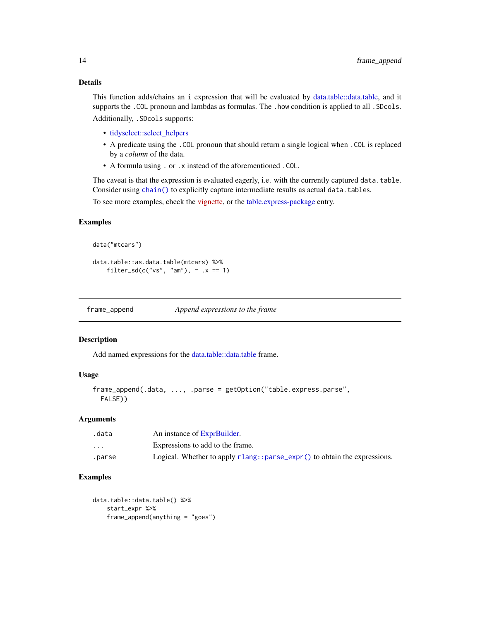#### Details

This function adds/chains an i expression that will be evaluated by [data.table::data.table,](#page-0-0) and it supports the .COL pronoun and lambdas as formulas. The .how condition is applied to all .SDcols. Additionally, .SDcols supports:

- [tidyselect::select\\_helpers](#page-0-0)
- A predicate using the .COL pronoun that should return a single logical when .COL is replaced by a *column* of the data.
- A formula using . or .x instead of the aforementioned .COL.

The caveat is that the expression is evaluated eagerly, i.e. with the currently captured data.table. Consider using [chain\(\)](#page-5-1) to explicitly capture intermediate results as actual data.tables.

To see more examples, check the [vignette,](https://asardaes.github.io/table.express/articles/table.express.html) or the [table.express-package](#page-2-1) entry.

#### Examples

```
data("mtcars")
```

```
data.table::as.data.table(mtcars) %>%
    filter_sd(c("vs", "am"), \sim .x == 1)
```
frame\_append *Append expressions to the frame*

#### Description

Add named expressions for the [data.table::data.table](#page-0-0) frame.

#### Usage

```
frame_append(.data, ..., .parse = getOption("table.express.parse",
 FALSE))
```
#### Arguments

| .data                   | An instance of ExprBuilder.                                                     |
|-------------------------|---------------------------------------------------------------------------------|
| $\cdot$ $\cdot$ $\cdot$ | Expressions to add to the frame.                                                |
| .parse                  | Logical. Whether to apply $r$ lang:: $parse\_expr()$ to obtain the expressions. |

#### Examples

```
data.table::data.table() %>%
    start_expr %>%
    frame_append(anything = "goes")
```
<span id="page-13-0"></span>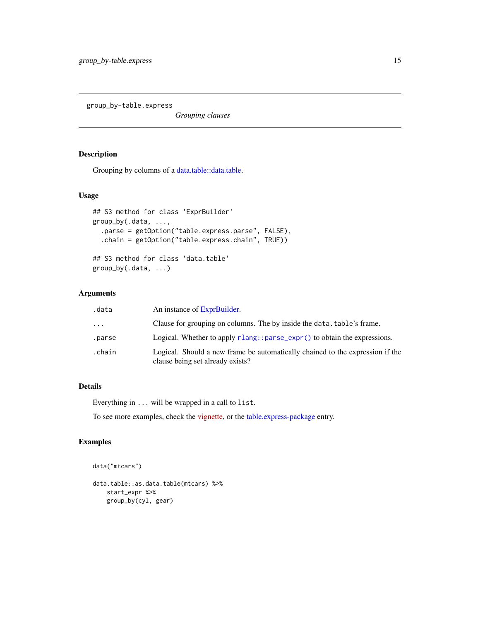<span id="page-14-0"></span>group\_by-table.express

*Grouping clauses*

#### Description

Grouping by columns of a [data.table::data.table.](#page-0-0)

#### Usage

```
## S3 method for class 'ExprBuilder'
group_by(.data, ...,
  .parse = getOption("table.express.parse", FALSE),
  .chain = getOption("table.express.chain", TRUE))
## S3 method for class 'data.table'
group_by(.data, ...)
```
### Arguments

| .data  | An instance of ExprBuilder.                                                                                       |
|--------|-------------------------------------------------------------------------------------------------------------------|
| .      | Clause for grouping on columns. The by inside the data, table's frame.                                            |
| .parse | Logical. Whether to apply $rlang::parse\_expr()$ to obtain the expressions.                                       |
| .chain | Logical. Should a new frame be automatically chained to the expression if the<br>clause being set already exists? |

### Details

Everything in ... will be wrapped in a call to list.

To see more examples, check the [vignette,](https://asardaes.github.io/table.express/articles/table.express.html) or the [table.express-package](#page-2-1) entry.

#### Examples

```
data("mtcars")
data.table::as.data.table(mtcars) %>%
   start_expr %>%
   group_by(cyl, gear)
```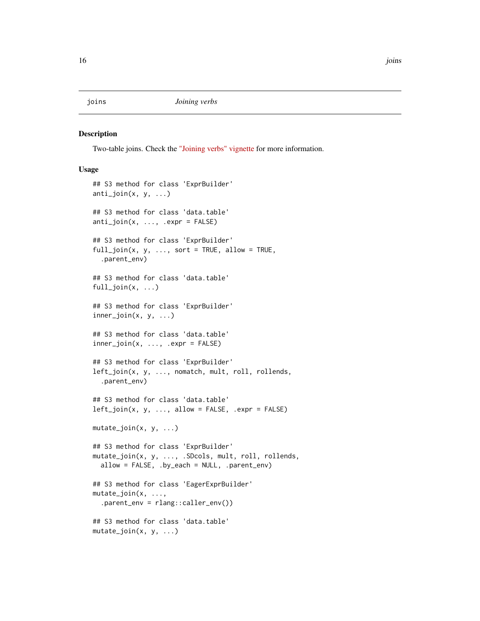<span id="page-15-0"></span>

#### Description

Two-table joins. Check the ["Joining verbs" vignette](https://asardaes.github.io/table.express/articles/joins.html) for more information.

#### Usage

```
## S3 method for class 'ExprBuilder'
anti_join(x, y, ...)
## S3 method for class 'data.table'
anti_join(x, ..., .expr = FALSE)
## S3 method for class 'ExprBuilder'
full\_join(x, y, ..., sort = TRUE, allow = TRUE,.parent_env)
## S3 method for class 'data.table'
full\_join(x, \ldots)## S3 method for class 'ExprBuilder'
inner_join(x, y, ...)
## S3 method for class 'data.table'
inner\_join(x, ..., .expr = FALSE)## S3 method for class 'ExprBuilder'
left_join(x, y, ..., nomatch, mult, roll, rollends,
  .parent_env)
## S3 method for class 'data.table'
left\_join(x, y, ..., allow = FALSE, .expr = FALSE)mutate_join(x, y, ...)
## S3 method for class 'ExprBuilder'
mutate_join(x, y, ..., .SDcols, mult, roll, rollends,
  allow = FALSE, .by_each = NULL, .parent_env)
## S3 method for class 'EagerExprBuilder'
mutate_join(x, ...,
  .parent\_env = \text{rlang::caller\_env()}## S3 method for class 'data.table'
mutate\_join(x, y, ...)
```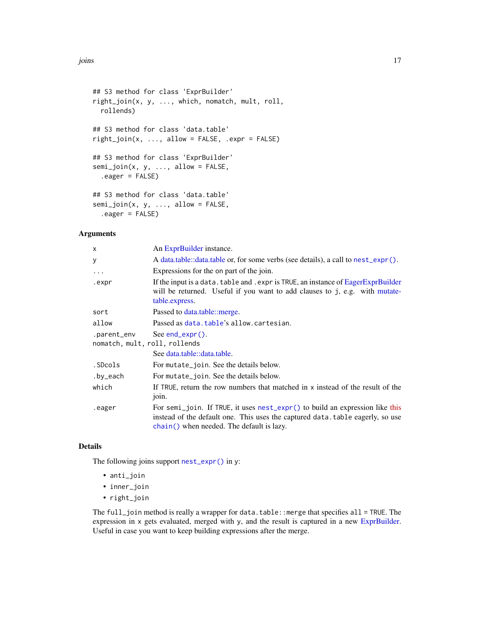```
## S3 method for class 'ExprBuilder'
right_join(x, y, ..., which, nomatch, mult, roll,
 rollends)
## S3 method for class 'data.table'
right\_join(x, ..., allow = FALSE, .expr = FALSE)## S3 method for class 'ExprBuilder'
semi_join(x, y, ..., allow = FALSE,.eager = FALSE)
## S3 method for class 'data.table'
semi_join(x, y, ..., allow = FALSE,.eager = FALSE)
```
Arguments

| x                                            | An ExprBuilder instance.                                                                                                                                                                                              |
|----------------------------------------------|-----------------------------------------------------------------------------------------------------------------------------------------------------------------------------------------------------------------------|
| У                                            | A data.table::data.table or, for some verbs (see details), a call to $nest\_expr()$ .                                                                                                                                 |
| $\ddots$                                     | Expressions for the on part of the join.                                                                                                                                                                              |
| .expr                                        | If the input is a data. table and . expr is TRUE, an instance of EagerExprBuilder<br>will be returned. Useful if you want to add clauses to j, e.g. with mutate-<br>table.express.                                    |
| sort                                         | Passed to data.table::merge.                                                                                                                                                                                          |
| allow                                        | Passed as data.table's allow.cartesian.                                                                                                                                                                               |
| .parent_env<br>nomatch, mult, roll, rollends | See end_expr $()$ .                                                                                                                                                                                                   |
|                                              | See data.table::data.table.                                                                                                                                                                                           |
| .SDcols                                      | For mutate_join. See the details below.                                                                                                                                                                               |
| .by_each                                     | For mutate_join. See the details below.                                                                                                                                                                               |
| which                                        | If TRUE, return the row numbers that matched in x instead of the result of the<br>join.                                                                                                                               |
| .eager                                       | For semi-join. If TRUE, it uses $nest\_\text{expr}()$ to build an expression like this<br>instead of the default one. This uses the captured data. table eagerly, so use<br>chain() when needed. The default is lazy. |

#### Details

The following joins support [nest\\_expr\(\)](#page-21-1) in y:

- anti\_join
- inner\_join
- right\_join

The full\_join method is really a wrapper for data.table::merge that specifies all = TRUE. The expression in x gets evaluated, merged with y, and the result is captured in a new [ExprBuilder.](#page-8-1) Useful in case you want to keep building expressions after the merge.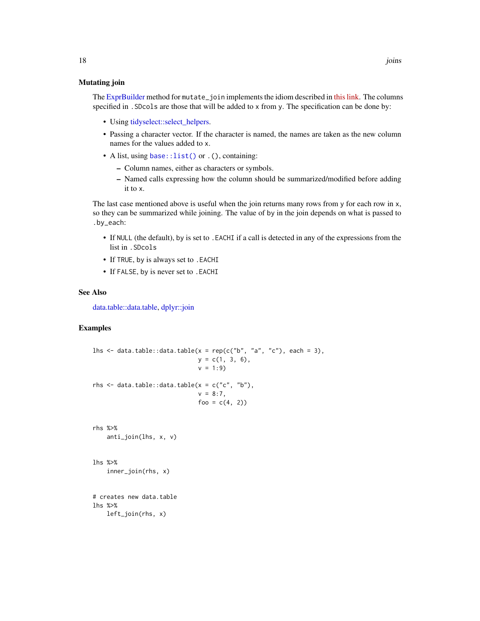#### <span id="page-17-0"></span>Mutating join

The [ExprBuilder](#page-8-1) method for mutate<sub>r</sub> join implements the idiom described in [this link.](https://stackoverflow.com/a/54313203/5793905) The columns specified in .SDcols are those that will be added to x from y. The specification can be done by:

- Using [tidyselect::select\\_helpers.](#page-0-0)
- Passing a character vector. If the character is named, the names are taken as the new column names for the values added to x.
- A list, using [base::list\(\)](#page-0-0) or . (), containing:
	- Column names, either as characters or symbols.
	- Named calls expressing how the column should be summarized/modified before adding it to x.

The last case mentioned above is useful when the join returns many rows from y for each row in x, so they can be summarized while joining. The value of by in the join depends on what is passed to .by\_each:

- If NULL (the default), by is set to .EACHI if a call is detected in any of the expressions from the list in .SDcols
- If TRUE, by is always set to . EACHI
- If FALSE, by is never set to .EACHI

#### See Also

[data.table::data.table,](#page-0-0) [dplyr::join](#page-0-0)

#### Examples

```
lhs \le data.table::data.table(x = rep(c("b", "a", "c"), each = 3),
                              y = c(1, 3, 6),
                              v = 1:9rhs \leq data.table::data.table(x = c("c", "b"),
                              v = 8:7,
                              foo = c(4, 2)rhs %>%
    anti_join(lhs, x, v)
lhs %>%
    inner_join(rhs, x)
# creates new data.table
lhs %>%
    left_join(rhs, x)
```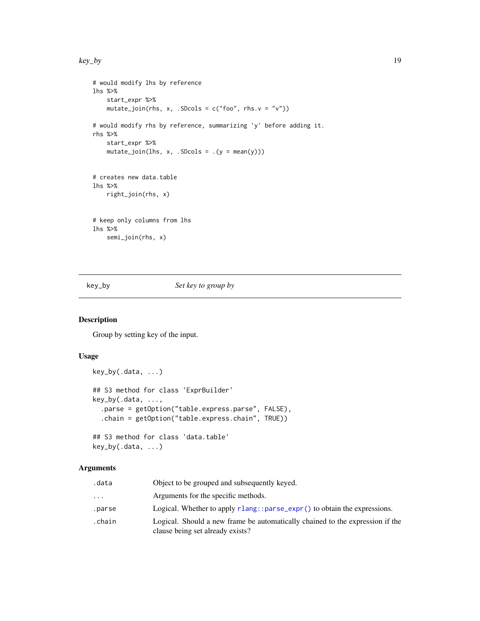<span id="page-18-0"></span>key\_by 19

```
# would modify lhs by reference
lhs %>%
   start_expr %>%
   mutate_join(rhs, x, .SDcols = c("foo", rhs.v = "v"))# would modify rhs by reference, summarizing 'y' before adding it.
rhs %>%
   start_expr %>%
   mutate\_join(lhs, x, .SDCols = .(y = mean(y)))# creates new data.table
lhs %>%
    right_join(rhs, x)
# keep only columns from lhs
lhs %>%
   semi_join(rhs, x)
```
key\_by *Set key to group by*

#### Description

Group by setting key of the input.

#### Usage

```
key_by(.data, ...)
## S3 method for class 'ExprBuilder'
key_by(.data, ...,
  .parse = getOption("table.express.parse", FALSE),
  .chain = getOption("table.express.chain", TRUE))
## S3 method for class 'data.table'
key_by(.data, ...)
```

| .data  | Object to be grouped and subsequently keyed.                                                                      |
|--------|-------------------------------------------------------------------------------------------------------------------|
| .      | Arguments for the specific methods.                                                                               |
| .parse | Logical. Whether to apply $r$ lang:: $parse_{\text{expr}}()$ to obtain the expressions.                           |
| .chain | Logical. Should a new frame be automatically chained to the expression if the<br>clause being set already exists? |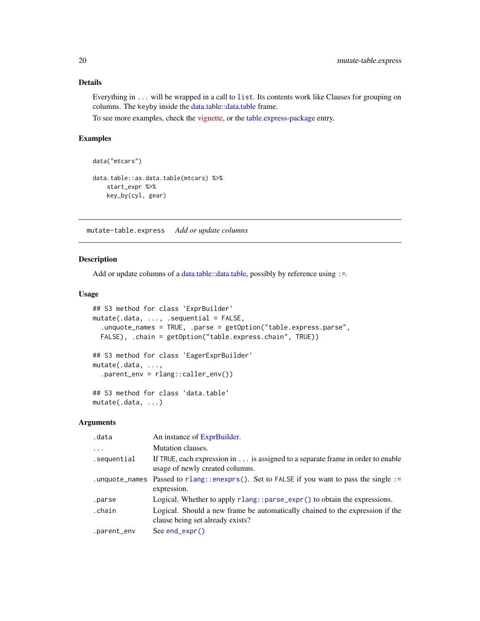#### Details

Everything in ... will be wrapped in a call to list. Its contents work like Clauses for grouping on columns. The keyby inside the [data.table::data.table](#page-0-0) frame.

To see more examples, check the [vignette,](https://asardaes.github.io/table.express/articles/table.express.html) or the [table.express-package](#page-2-1) entry.

### Examples

```
data("mtcars")
data.table::as.data.table(mtcars) %>%
   start_expr %>%
   key_by(cyl, gear)
```
<span id="page-19-1"></span>mutate-table.express *Add or update columns*

#### Description

Add or update columns of a [data.table::data.table,](#page-0-0) possibly by reference using [:=](#page-0-0).

#### Usage

```
## S3 method for class 'ExprBuilder'
mutate(.data, ..., .sequential = FALSE,
  .unquote_names = TRUE, .parse = getOption("table.express.parse",
  FALSE), .chain = getOption("table.express.chain", TRUE))
## S3 method for class 'EagerExprBuilder'
mutate(.data, ...,
  .parent_env = rlang::caller_env())
## S3 method for class 'data.table'
mutate(.data, ...)
```

| .data       | An instance of ExprBuilder.                                                                                       |
|-------------|-------------------------------------------------------------------------------------------------------------------|
| .           | Mutation clauses.                                                                                                 |
| .sequential | If TRUE, each expression in is assigned to a separate frame in order to enable<br>usage of newly created columns. |
|             | .unquote_names Passed to rlang::enexprs(). Set to FALSE if you want to pass the single :=<br>expression.          |
| .parse      | Logical. Whether to apply rlang::parse_expr() to obtain the expressions.                                          |
| .chain      | Logical. Should a new frame be automatically chained to the expression if the<br>clause being set already exists? |
| .parent_env | $See end\_expr()$                                                                                                 |

<span id="page-19-0"></span>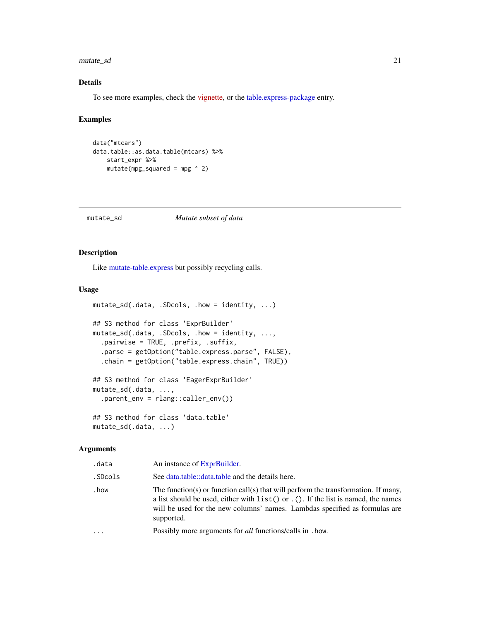<span id="page-20-0"></span>mutate\_sd 21

#### Details

To see more examples, check the [vignette,](https://asardaes.github.io/table.express/articles/table.express.html) or the [table.express-package](#page-2-1) entry.

#### Examples

```
data("mtcars")
data.table::as.data.table(mtcars) %>%
   start_expr %>%
   mutate(mpg_squared = mpg ^ 2)
```
#### mutate\_sd *Mutate subset of data*

#### Description

Like [mutate-table.express](#page-19-1) but possibly recycling calls.

#### Usage

```
mutate_sd(.data, .SDcols, .how = identity, ...)
## S3 method for class 'ExprBuilder'
mutate_sd(.data, .SDcols, .how = identity, ...,
  .pairwise = TRUE, .prefix, .suffix,
  .parse = getOption("table.express.parse", FALSE),
  .chain = getOption("table.express.chain", TRUE))
## S3 method for class 'EagerExprBuilder'
mutate_sd(.data, ...,
  .parent_env = rlang::caller_env())
## S3 method for class 'data.table'
mutate_sd(.data, ...)
```

| .data   | An instance of ExprBuilder.                                                                                                                                                                                                                                              |
|---------|--------------------------------------------------------------------------------------------------------------------------------------------------------------------------------------------------------------------------------------------------------------------------|
| .SDcols | See data.table::data.table and the details here.                                                                                                                                                                                                                         |
| . how   | The function(s) or function call(s) that will perform the transformation. If many,<br>a list should be used, either with $list()$ or $.()$ . If the list is named, the names<br>will be used for the new columns' names. Lambdas specified as formulas are<br>supported. |
| .       | Possibly more arguments for <i>all</i> functions/calls in . how.                                                                                                                                                                                                         |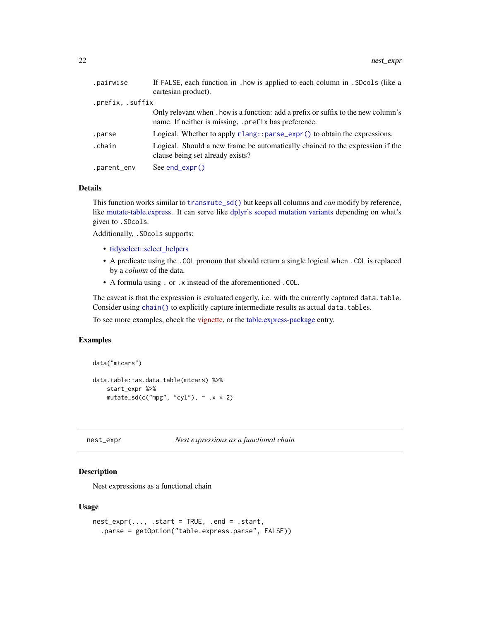<span id="page-21-0"></span>

| .pairwise        | If FALSE, each function in . how is applied to each column in . SDcols (like a<br>cartesian product).                                      |
|------------------|--------------------------------------------------------------------------------------------------------------------------------------------|
| .prefix, .suffix |                                                                                                                                            |
|                  | Only relevant when , how is a function: add a prefix or suffix to the new column's<br>name. If neither is missing, .prefix has preference. |
| .parse           | Logical. Whether to apply $rlang: sparse\_expr()$ to obtain the expressions.                                                               |
| .chain           | Logical. Should a new frame be automatically chained to the expression if the<br>clause being set already exists?                          |
| .parent_env      | See $end\_expr()$                                                                                                                          |

#### Details

This function works similar to [transmute\\_sd\(\)](#page-27-1) but keeps all columns and *can* modify by reference, like [mutate-table.express.](#page-19-1) It can serve like [dplyr's scoped mutation variants](#page-0-0) depending on what's given to .SDcols.

Additionally, .SDcols supports:

- [tidyselect::select\\_helpers](#page-0-0)
- A predicate using the . COL pronoun that should return a single logical when . COL is replaced by a *column* of the data.
- A formula using . or .x instead of the aforementioned .COL.

The caveat is that the expression is evaluated eagerly, i.e. with the currently captured data.table. Consider using [chain\(\)](#page-5-1) to explicitly capture intermediate results as actual data.tables.

To see more examples, check the [vignette,](https://asardaes.github.io/table.express/articles/table.express.html) or the [table.express-package](#page-2-1) entry.

#### Examples

```
data("mtcars")
data.table::as.data.table(mtcars) %>%
    start_expr %>%
    mutate_sd(c("mpg", "cyl"), \sim .x * 2)
```
<span id="page-21-1"></span>nest\_expr *Nest expressions as a functional chain*

#### **Description**

Nest expressions as a functional chain

#### Usage

```
nest\_expr(..., .start = TRUE, .end = .start,.parse = getOption("table.express.parse", FALSE))
```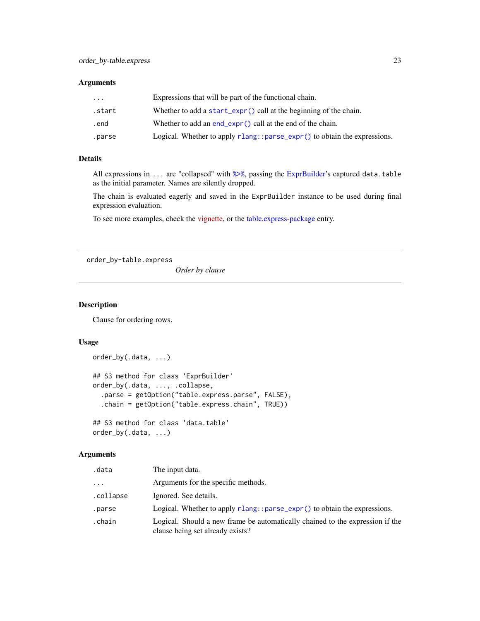#### <span id="page-22-0"></span>Arguments

| $\ddotsc$ | Expressions that will be part of the functional chain.                   |
|-----------|--------------------------------------------------------------------------|
| .start    | Whether to add a start_expr() call at the beginning of the chain.        |
| .end      | Whether to add an $end_{expr}()$ call at the end of the chain.           |
| .parse    | Logical. Whether to apply rlang::parse_expr() to obtain the expressions. |

#### Details

All expressions in ... are "collapsed" with [%>%](#page-0-0), passing the [ExprBuilder'](#page-8-1)s captured data.table as the initial parameter. Names are silently dropped.

The chain is evaluated eagerly and saved in the ExprBuilder instance to be used during final expression evaluation.

To see more examples, check the [vignette,](https://asardaes.github.io/table.express/articles/table.express.html) or the [table.express-package](#page-2-1) entry.

<span id="page-22-1"></span>order\_by-table.express

*Order by clause*

#### Description

Clause for ordering rows.

#### Usage

```
order_by(.data, ...)
## S3 method for class 'ExprBuilder'
order_by(.data, ..., .collapse,
  .parse = getOption("table.express.parse", FALSE),
  .chain = getOption("table.express.chain", TRUE))
## S3 method for class 'data.table'
```
order\_by(.data, ...)

| .data     | The input data.                                                                                                   |
|-----------|-------------------------------------------------------------------------------------------------------------------|
| .         | Arguments for the specific methods.                                                                               |
| .collapse | Ignored. See details.                                                                                             |
| .parse    | Logical. Whether to apply $rlang::parse\_expr()$ to obtain the expressions.                                       |
| .chain    | Logical. Should a new frame be automatically chained to the expression if the<br>clause being set already exists? |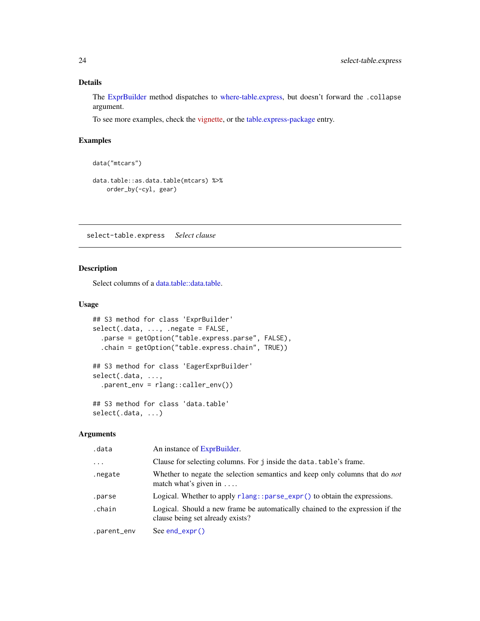#### <span id="page-23-0"></span>Details

The [ExprBuilder](#page-8-1) method dispatches to [where-table.express,](#page-28-1) but doesn't forward the .collapse argument.

To see more examples, check the [vignette,](https://asardaes.github.io/table.express/articles/table.express.html) or the [table.express-package](#page-2-1) entry.

#### Examples

```
data("mtcars")
```

```
data.table::as.data.table(mtcars) %>%
   order_by(-cyl, gear)
```
select-table.express *Select clause*

#### Description

Select columns of a [data.table::data.table.](#page-0-0)

#### Usage

```
## S3 method for class 'ExprBuilder'
select(.data, ..., .negate = FALSE,
  .parse = getOption("table.express.parse", FALSE),
  .chain = getOption("table.express.chain", TRUE))
## S3 method for class 'EagerExprBuilder'
select(.data, ...,
  .parent_env = rlang::caller_env())
## S3 method for class 'data.table'
select(.data, ...)
```

| .data       | An instance of ExprBuilder.                                                                                         |
|-------------|---------------------------------------------------------------------------------------------------------------------|
| $\cdots$    | Clause for selecting columns. For j inside the data. table's frame.                                                 |
| .negate     | Whether to negate the selection semantics and keep only columns that do <i>not</i><br>match what's given in $\dots$ |
| .parse      | Logical. Whether to apply rlang::parse_expr() to obtain the expressions.                                            |
| .chain      | Logical. Should a new frame be automatically chained to the expression if the<br>clause being set already exists?   |
| .parent_env | See $end\_expr()$                                                                                                   |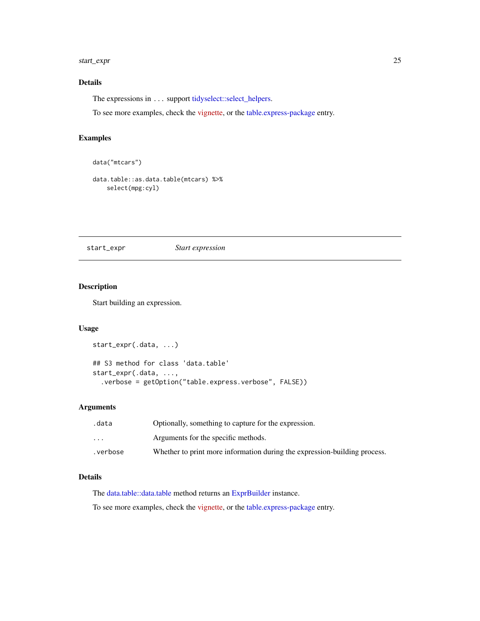#### <span id="page-24-0"></span>start\_expr 25

#### Details

The expressions in ... support [tidyselect::select\\_helpers.](#page-0-0)

To see more examples, check the [vignette,](https://asardaes.github.io/table.express/articles/table.express.html) or the [table.express-package](#page-2-1) entry.

#### Examples

```
data("mtcars")
```

```
data.table::as.data.table(mtcars) %>%
   select(mpg:cyl)
```
<span id="page-24-1"></span>start\_expr *Start expression*

#### Description

Start building an expression.

#### Usage

```
start_expr(.data, ...)
## S3 method for class 'data.table'
start_expr(.data, ...,
  .verbose = getOption("table.express.verbose", FALSE))
```
#### Arguments

| .data                   | Optionally, something to capture for the expression.                      |
|-------------------------|---------------------------------------------------------------------------|
| $\cdot$ $\cdot$ $\cdot$ | Arguments for the specific methods.                                       |
| .verbose                | Whether to print more information during the expression-building process. |

#### Details

The [data.table::data.table](#page-0-0) method returns an [ExprBuilder](#page-8-1) instance.

To see more examples, check the [vignette,](https://asardaes.github.io/table.express/articles/table.express.html) or the [table.express-package](#page-2-1) entry.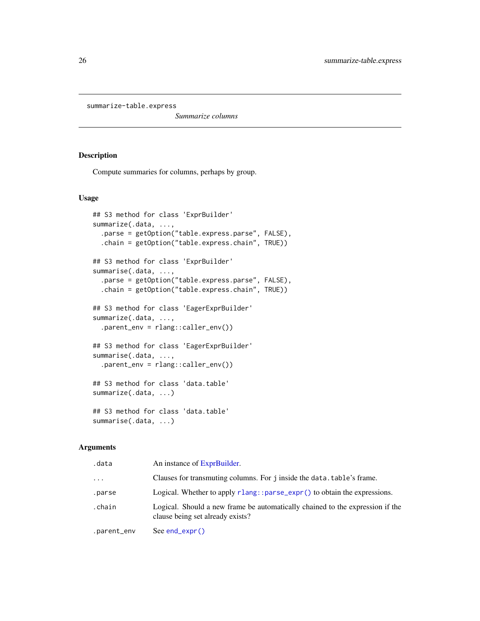```
summarize-table.express
```
*Summarize columns*

#### Description

Compute summaries for columns, perhaps by group.

#### Usage

```
## S3 method for class 'ExprBuilder'
summarize(.data, ...,
  .parse = getOption("table.express.parse", FALSE),
  .chain = getOption("table.express.chain", TRUE))
## S3 method for class 'ExprBuilder'
summarise(.data, ...,
  .parse = getOption("table.express.parse", FALSE),
  .chain = getOption("table.express.chain", TRUE))
## S3 method for class 'EagerExprBuilder'
summarize(.data, ...,
  .parent_env = rlang::caller_env())
## S3 method for class 'EagerExprBuilder'
summarise(.data, ...,
  .parent_env = rlang::caller_env())
## S3 method for class 'data.table'
summarize(.data, ...)
## S3 method for class 'data.table'
summarise(.data, ...)
```

| .data       | An instance of ExprBuilder.                                                                                       |
|-------------|-------------------------------------------------------------------------------------------------------------------|
| $\cdots$    | Clauses for transmuting columns. For j inside the data.table's frame.                                             |
| .parse      | Logical. Whether to apply rlang:: parse_expr() to obtain the expressions.                                         |
| .chain      | Logical. Should a new frame be automatically chained to the expression if the<br>clause being set already exists? |
| .parent_env | $See end\_expr()$                                                                                                 |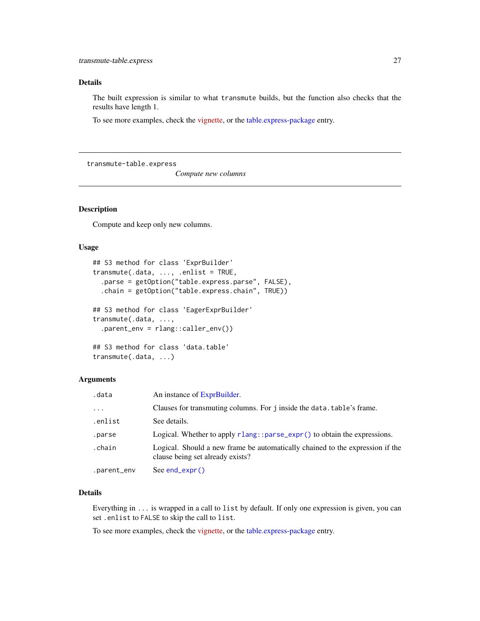#### <span id="page-26-0"></span>Details

The built expression is similar to what transmute builds, but the function also checks that the results have length 1.

To see more examples, check the [vignette,](https://asardaes.github.io/table.express/articles/table.express.html) or the [table.express-package](#page-2-1) entry.

<span id="page-26-1"></span>transmute-table.express

*Compute new columns*

#### Description

Compute and keep only new columns.

#### Usage

```
## S3 method for class 'ExprBuilder'
transmute(.data, ..., .enlist = TRUE,
  .parse = getOption("table.express.parse", FALSE),
  .chain = getOption("table.express.chain", TRUE))
## S3 method for class 'EagerExprBuilder'
transmute(.data, ...,
  .parent_env = rlang::caller_env())
## S3 method for class 'data.table'
transmute(.data, ...)
```
#### Arguments

| .data       | An instance of ExprBuilder.                                                                                       |
|-------------|-------------------------------------------------------------------------------------------------------------------|
| $\ddots$    | Clauses for transmuting columns. For j inside the data, table's frame.                                            |
| .enlist     | See details.                                                                                                      |
| .parse      | Logical. Whether to apply $rlang:parse\_expr()$ to obtain the expressions.                                        |
| .chain      | Logical. Should a new frame be automatically chained to the expression if the<br>clause being set already exists? |
| .parent_env | See $end$ ( $\times$ pr()                                                                                         |

#### Details

Everything in ... is wrapped in a call to list by default. If only one expression is given, you can set .enlist to FALSE to skip the call to list.

To see more examples, check the [vignette,](https://asardaes.github.io/table.express/articles/table.express.html) or the [table.express-package](#page-2-1) entry.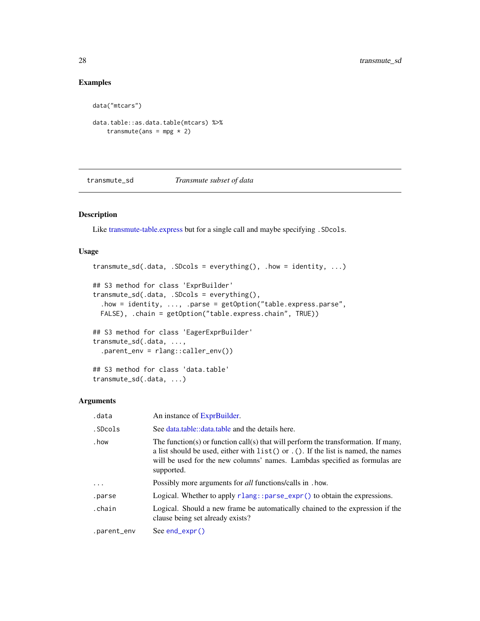#### Examples

```
data("mtcars")
data.table::as.data.table(mtcars) %>%
   transmute(ans = mpg * 2)
```
<span id="page-27-1"></span>transmute\_sd *Transmute subset of data*

#### Description

Like [transmute-table.express](#page-26-1) but for a single call and maybe specifying . SDcols.

#### Usage

```
transmute_s d(.data, .SDCols = everything(), .how = identity, ...)## S3 method for class 'ExprBuilder'
transmute_sd(.data, .SDcols = everything(),
  .how = identity, ..., .parse = getOption("table.express.parse",
 FALSE), .chain = getOption("table.express.chain", TRUE))
## S3 method for class 'EagerExprBuilder'
transmute_sd(.data, ...,
  .parent_env = rlang::caller_env())
## S3 method for class 'data.table'
transmute_sd(.data, ...)
```

| .data       | An instance of ExprBuilder.                                                                                                                                                                                                                                             |
|-------------|-------------------------------------------------------------------------------------------------------------------------------------------------------------------------------------------------------------------------------------------------------------------------|
| .SDcols     | See data.table::data.table and the details here.                                                                                                                                                                                                                        |
| . how       | The function(s) or function call(s) that will perform the transformation. If many,<br>a list should be used, either with $list()$ or $.(.)$ If the list is named, the names<br>will be used for the new columns' names. Lambdas specified as formulas are<br>supported. |
| .           | Possibly more arguments for <i>all</i> functions/calls in . how.                                                                                                                                                                                                        |
| .parse      | Logical. Whether to apply $rlang:parse\_expr()$ to obtain the expressions.                                                                                                                                                                                              |
| .chain      | Logical. Should a new frame be automatically chained to the expression if the<br>clause being set already exists?                                                                                                                                                       |
| .parent_env | $See end\_expr()$                                                                                                                                                                                                                                                       |

<span id="page-27-0"></span>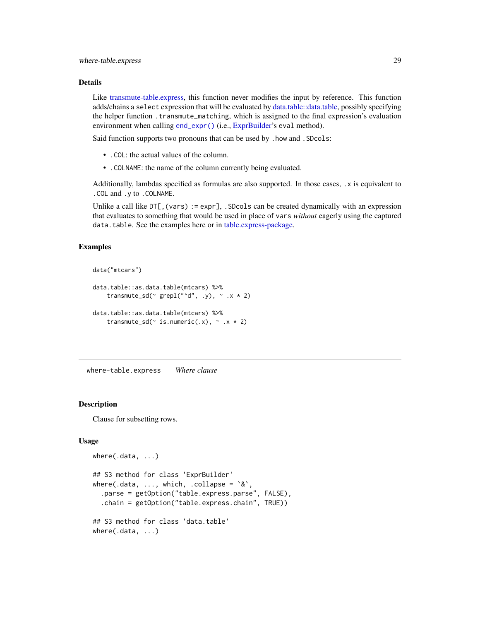#### <span id="page-28-0"></span>Details

Like [transmute-table.express,](#page-26-1) this function never modifies the input by reference. This function adds/chains a select expression that will be evaluated by [data.table::data.table,](#page-0-0) possibly specifying the helper function .transmute\_matching, which is assigned to the final expression's evaluation environment when calling [end\\_expr\(\)](#page-7-1) (i.e., [ExprBuilder'](#page-8-1)s eval method).

Said function supports two pronouns that can be used by .how and .SDcols:

- .COL: the actual values of the column.
- .COLNAME: the name of the column currently being evaluated.

Additionally, lambdas specified as formulas are also supported. In those cases, .x is equivalent to .COL and .y to .COLNAME.

Unlike a call like  $DT[,$  (vars) := expr], . SDcols can be created dynamically with an expression that evaluates to something that would be used in place of vars *without* eagerly using the captured data.table. See the examples here or in [table.express-package.](#page-2-1)

#### Examples

```
data("mtcars")
data.table::as.data.table(mtcars) %>%
    transmute_sd(\sim grepl("\simd", .y), \sim .x \star 2)
data.table::as.data.table(mtcars) %>%
```

```
transmute_sd(\sim is.numeric(.x), \sim .x * 2)
```
<span id="page-28-1"></span>where-table.express *Where clause*

#### **Description**

Clause for subsetting rows.

#### Usage

```
where(.data, ...)
## S3 method for class 'ExprBuilder'
where(.data, ..., which, .collapse = x,
  .parse = getOption("table.express.parse", FALSE),
  .chain = getOption("table.express.chain", TRUE))
## S3 method for class 'data.table'
where(.data, ...)
```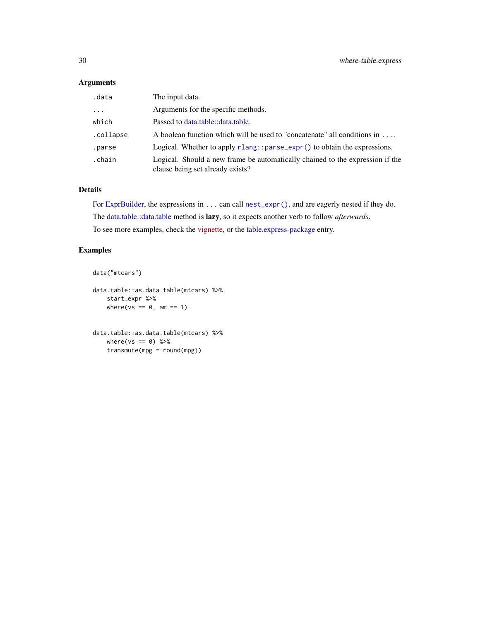#### <span id="page-29-0"></span>Arguments

| .data     | The input data.                                                                                                   |
|-----------|-------------------------------------------------------------------------------------------------------------------|
| $\cdots$  | Arguments for the specific methods.                                                                               |
| which     | Passed to data.table::data.table.                                                                                 |
| .collapse | A boolean function which will be used to "concatenate" all conditions in                                          |
| .parse    | Logical. Whether to apply $rlang: sparse\_expr()$ to obtain the expressions.                                      |
| .chain    | Logical. Should a new frame be automatically chained to the expression if the<br>clause being set already exists? |

#### Details

For [ExprBuilder,](#page-8-1) the expressions in ... can call [nest\\_expr\(\)](#page-21-1), and are eagerly nested if they do. The [data.table::data.table](#page-0-0) method is lazy, so it expects another verb to follow *afterwards*. To see more examples, check the [vignette,](https://asardaes.github.io/table.express/articles/table.express.html) or the [table.express-package](#page-2-1) entry.

#### Examples

```
data("mtcars")
```

```
data.table::as.data.table(mtcars) %>%
   start_expr %>%
   where(vs == 0, am == 1)
```

```
data.table::as.data.table(mtcars) %>%
   where(vs == 0) %>%
   transmute(mpg = round(mpg))
```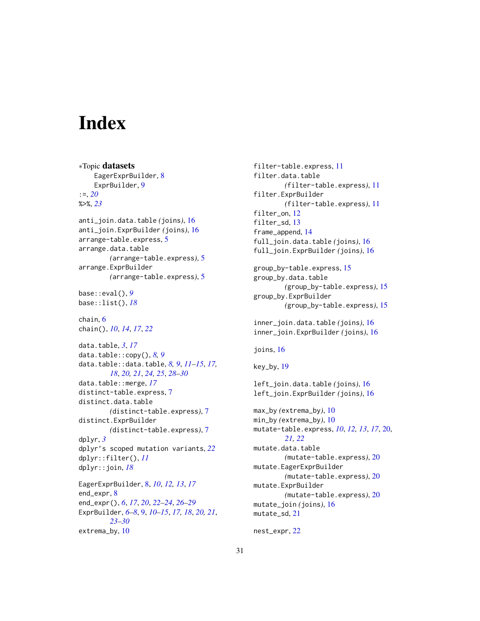# <span id="page-30-0"></span>**Index**

∗Topic datasets EagerExprBuilder, [8](#page-7-0) ExprBuilder, [9](#page-8-0) :=, *[20](#page-19-0)* %>%, *[23](#page-22-0)* anti\_join.data.table *(*joins*)*, [16](#page-15-0) anti\_join.ExprBuilder *(*joins*)*, [16](#page-15-0) arrange-table.express, [5](#page-4-0) arrange.data.table *(*arrange-table.express*)*, [5](#page-4-0) arrange.ExprBuilder *(*arrange-table.express*)*, [5](#page-4-0) base::eval(), *[9](#page-8-0)* base::list(), *[18](#page-17-0)* chain, [6](#page-5-0) chain(), *[10](#page-9-0)*, *[14](#page-13-0)*, *[17](#page-16-0)*, *[22](#page-21-0)* data.table, *[3](#page-2-0)*, *[17](#page-16-0)* data.table::copy(), *[8,](#page-7-0) [9](#page-8-0)* data.table::data.table, *[8,](#page-7-0) [9](#page-8-0)*, *[11–](#page-10-0)[15](#page-14-0)*, *[17,](#page-16-0) [18](#page-17-0)*, *[20,](#page-19-0) [21](#page-20-0)*, *[24,](#page-23-0) [25](#page-24-0)*, *[28–](#page-27-0)[30](#page-29-0)* data.table::merge, *[17](#page-16-0)* distinct-table.express, [7](#page-6-0) distinct.data.table *(*distinct-table.express*)*, [7](#page-6-0) distinct.ExprBuilder *(*distinct-table.express*)*, [7](#page-6-0) dplyr, *[3](#page-2-0)* dplyr's scoped mutation variants, *[22](#page-21-0)* dplyr::filter(), *[11](#page-10-0)* dplyr::join, *[18](#page-17-0)* EagerExprBuilder, [8,](#page-7-0) *[10](#page-9-0)*, *[12,](#page-11-0) [13](#page-12-0)*, *[17](#page-16-0)* end\_expr, [8](#page-7-0) end\_expr(), *[6](#page-5-0)*, *[17](#page-16-0)*, *[20](#page-19-0)*, *[22–](#page-21-0)[24](#page-23-0)*, *[26–](#page-25-0)[29](#page-28-0)* ExprBuilder, *[6](#page-5-0)[–8](#page-7-0)*, [9,](#page-8-0) *[10–](#page-9-0)[15](#page-14-0)*, *[17,](#page-16-0) [18](#page-17-0)*, *[20,](#page-19-0) [21](#page-20-0)*, *[23](#page-22-0)[–30](#page-29-0)* extrema\_by, [10](#page-9-0)

```
filter-table.express, 11
filter.data.table
        (filter-table.express), 11
filter.ExprBuilder
        (filter-table.express), 11
filter_on, 12
filter_sd, 13
frame_append, 14
full_join.data.table (joins), 16
full_join.ExprBuilder (joins), 16
group_by-table.express, 15
group_by.data.table
        (group_by-table.express), 15
group_by.ExprBuilder
        (group_by-table.express), 15
inner_join.data.table (joins), 16
inner_join.ExprBuilder (joins), 16
joins, 16
key_by, 19
left_join.data.table (joins), 16
left_join.ExprBuilder (joins), 16
max_by (extrema_by), 10
min_by (extrema_by), 10
mutate-table.express, 10, 12, 13, 17, 20,
        21, 22
mutate.data.table
        (mutate-table.express), 20
mutate.EagerExprBuilder
        (mutate-table.express), 20
mutate.ExprBuilder
        (mutate-table.express), 20
mutate_join (joins), 16
mutate_sd, 21
```

```
nest_expr, 22
```